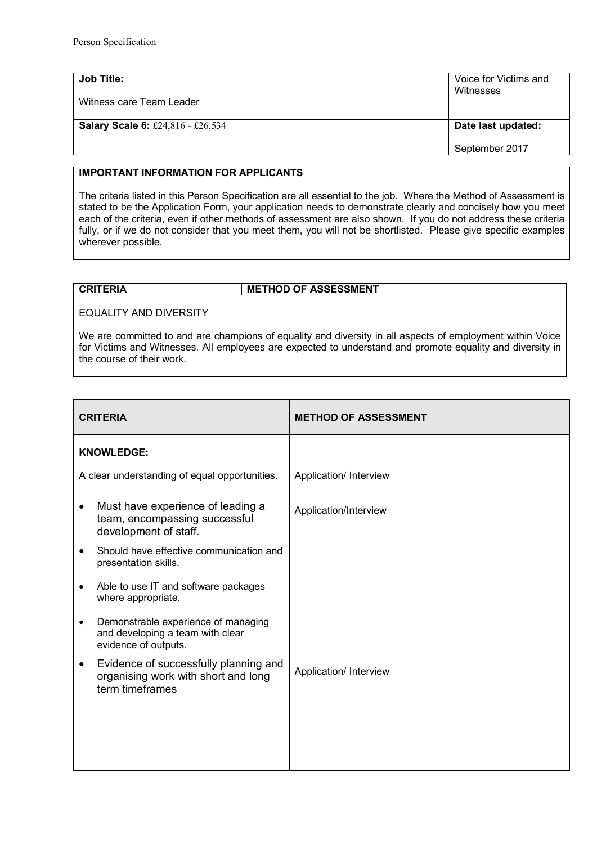| Job Title:                               | Voice for Victims and                |
|------------------------------------------|--------------------------------------|
| Witness care Team Leader                 | Witnesses                            |
| <b>Salary Scale 6: £24,816 - £26,534</b> | Date last updated:<br>September 2017 |

## **IMPORTANT INFORMATION FOR APPLICANTS**

The criteria listed in this Person Specification are all essential to the job. Where the Method of Assessment is stated to be the Application Form, your application needs to demonstrate clearly and concisely how you meet each of the criteria, even if other methods of assessment are also shown. If you do not address these criteria fully, or if we do not consider that you meet them, you will not be shortlisted. Please give specific examples wherever possible.

## **CRITERIA METHOD OF ASSESSMENT**

## EQUALITY AND DIVERSITY

We are committed to and are champions of equality and diversity in all aspects of employment within Voice for Victims and Witnesses. All employees are expected to understand and promote equality and diversity in the course of their work.

| <b>CRITERIA</b>                                                                                              | <b>METHOD OF ASSESSMENT</b> |
|--------------------------------------------------------------------------------------------------------------|-----------------------------|
| <b>KNOWLEDGE:</b>                                                                                            |                             |
| A clear understanding of equal opportunities.                                                                | Application/ Interview      |
| Must have experience of leading a<br>$\bullet$<br>team, encompassing successful<br>development of staff.     | Application/Interview       |
| Should have effective communication and<br>$\bullet$<br>presentation skills.                                 |                             |
| Able to use IT and software packages<br>$\bullet$<br>where appropriate.                                      |                             |
| Demonstrable experience of managing<br>$\bullet$<br>and developing a team with clear<br>evidence of outputs. |                             |
| Evidence of successfully planning and<br>$\bullet$<br>organising work with short and long<br>term timeframes | Application/ Interview      |
|                                                                                                              |                             |